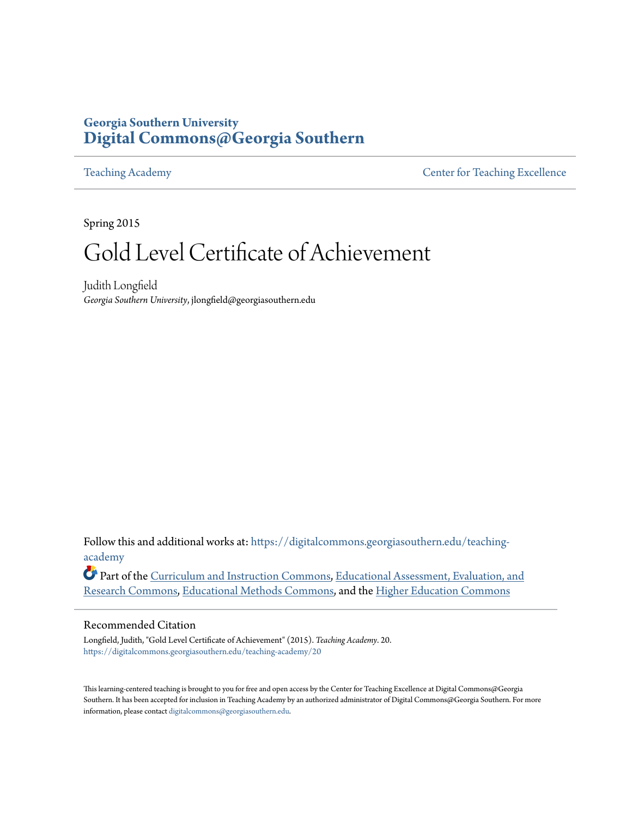# **Georgia Southern University [Digital Commons@Georgia Southern](https://digitalcommons.georgiasouthern.edu?utm_source=digitalcommons.georgiasouthern.edu%2Fteaching-academy%2F20&utm_medium=PDF&utm_campaign=PDFCoverPages)**

[Teaching Academy](https://digitalcommons.georgiasouthern.edu/teaching-academy?utm_source=digitalcommons.georgiasouthern.edu%2Fteaching-academy%2F20&utm_medium=PDF&utm_campaign=PDFCoverPages) **[Center for Teaching Excellence](https://digitalcommons.georgiasouthern.edu/ctls-scholar?utm_source=digitalcommons.georgiasouthern.edu%2Fteaching-academy%2F20&utm_medium=PDF&utm_campaign=PDFCoverPages)** 

Spring 2015

# Gold Level Certificate of Achievement

Judith Longfield *Georgia Southern University*, jlongfield@georgiasouthern.edu

Follow this and additional works at: [https://digitalcommons.georgiasouthern.edu/teaching](https://digitalcommons.georgiasouthern.edu/teaching-academy?utm_source=digitalcommons.georgiasouthern.edu%2Fteaching-academy%2F20&utm_medium=PDF&utm_campaign=PDFCoverPages)[academy](https://digitalcommons.georgiasouthern.edu/teaching-academy?utm_source=digitalcommons.georgiasouthern.edu%2Fteaching-academy%2F20&utm_medium=PDF&utm_campaign=PDFCoverPages)

Part of the [Curriculum and Instruction Commons](http://network.bepress.com/hgg/discipline/786?utm_source=digitalcommons.georgiasouthern.edu%2Fteaching-academy%2F20&utm_medium=PDF&utm_campaign=PDFCoverPages), [Educational Assessment, Evaluation, and](http://network.bepress.com/hgg/discipline/796?utm_source=digitalcommons.georgiasouthern.edu%2Fteaching-academy%2F20&utm_medium=PDF&utm_campaign=PDFCoverPages) [Research Commons,](http://network.bepress.com/hgg/discipline/796?utm_source=digitalcommons.georgiasouthern.edu%2Fteaching-academy%2F20&utm_medium=PDF&utm_campaign=PDFCoverPages) [Educational Methods Commons,](http://network.bepress.com/hgg/discipline/1227?utm_source=digitalcommons.georgiasouthern.edu%2Fteaching-academy%2F20&utm_medium=PDF&utm_campaign=PDFCoverPages) and the [Higher Education Commons](http://network.bepress.com/hgg/discipline/1245?utm_source=digitalcommons.georgiasouthern.edu%2Fteaching-academy%2F20&utm_medium=PDF&utm_campaign=PDFCoverPages)

#### Recommended Citation

Longfield, Judith, "Gold Level Certificate of Achievement" (2015). *Teaching Academy*. 20. [https://digitalcommons.georgiasouthern.edu/teaching-academy/20](https://digitalcommons.georgiasouthern.edu/teaching-academy/20?utm_source=digitalcommons.georgiasouthern.edu%2Fteaching-academy%2F20&utm_medium=PDF&utm_campaign=PDFCoverPages)

This learning-centered teaching is brought to you for free and open access by the Center for Teaching Excellence at Digital Commons@Georgia Southern. It has been accepted for inclusion in Teaching Academy by an authorized administrator of Digital Commons@Georgia Southern. For more information, please contact [digitalcommons@georgiasouthern.edu](mailto:digitalcommons@georgiasouthern.edu).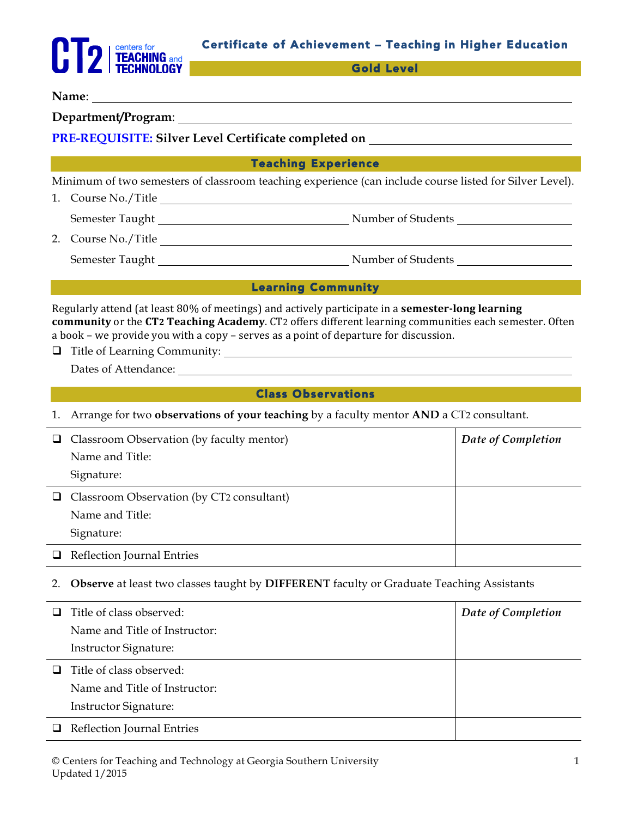

Gold Level

### **Name**:

**Department/Program**:

## **PRE-REQUISITE: Silver Level Certificate completed on**

#### Teaching Experience

Minimum of two semesters of classroom teaching experience (can include course listed for Silver Level).

- 1. Course No./Title Semester Taught Number of Students
- 2. Course No./Title Semester Taught Number of Students

#### Learning Community

Regularly attend (at least 80% of meetings) and actively participate in a **semester-long learning community** or the CT2 Teaching Academy. CT2 offers different learning communities each semester. Often a book – we provide you with a copy – serves as a point of departure for discussion.

q Title of Learning Community:

Dates of Attendance:

#### **Class Observations Class Observations**

1. Arrange for two **observations of your teaching** by a faculty mentor **AND** a CT2 consultant.

| ┙ | Classroom Observation (by faculty mentor) | Date of Completion |
|---|-------------------------------------------|--------------------|
|   | Name and Title:                           |                    |
|   | Signature:                                |                    |
| ┙ | Classroom Observation (by CT2 consultant) |                    |
|   | Name and Title:                           |                    |
|   | Signature:                                |                    |
|   | Reflection Journal Entries                |                    |

2. **Observe** at least two classes taught by **DIFFERENT** faculty or Graduate Teaching Assistants

| □      | Title of class observed:      | Date of Completion |
|--------|-------------------------------|--------------------|
|        | Name and Title of Instructor: |                    |
|        | <b>Instructor Signature:</b>  |                    |
| $\Box$ | Title of class observed:      |                    |
|        | Name and Title of Instructor: |                    |
|        | <b>Instructor Signature:</b>  |                    |
|        | Reflection Journal Entries    |                    |